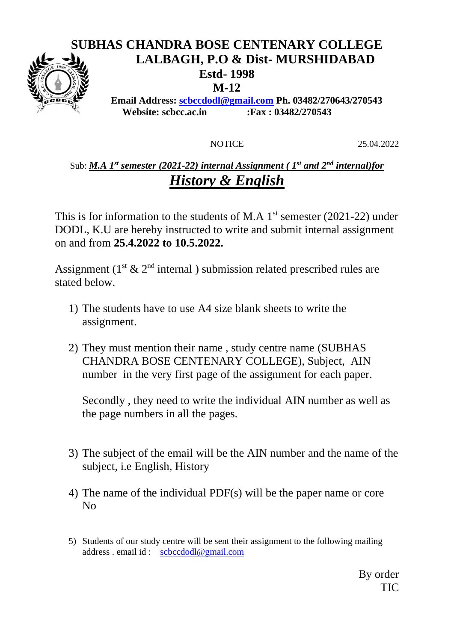### **SUBHAS CHANDRA BOSE CENTENARY COLLEGE LALBAGH, P.O & Dist- MURSHIDABAD Estd- 1998 M-12 Email Address: [scbccdodl@gmail.com](mailto:scbccdodl@gmail.com) Ph. 03482/270643/270543**

**Website: scbcc.ac.in :Fax : 03482/270543**

NOTICE 25.04.2022

### Sub: *M.A 1st semester (2021-22) internal Assignment ( 1st and 2nd internal)for History & English*

This is for information to the students of M.A  $1<sup>st</sup>$  semester (2021-22) under DODL, K.U are hereby instructed to write and submit internal assignment on and from **25.4.2022 to 10.5.2022.**

Assignment ( $1^{st}$  &  $2^{nd}$  internal) submission related prescribed rules are stated below.

- 1) The students have to use A4 size blank sheets to write the assignment.
- 2) They must mention their name , study centre name (SUBHAS CHANDRA BOSE CENTENARY COLLEGE), Subject, AIN number in the very first page of the assignment for each paper.

Secondly , they need to write the individual AIN number as well as the page numbers in all the pages.

- 3) The subject of the email will be the AIN number and the name of the subject, i.e English, History
- 4) The name of the individual PDF(s) will be the paper name or core No
- 5) Students of our study centre will be sent their assignment to the following mailing address . email id : [scbccdodl@gmail.com](mailto:scbccdodl@gmail.com)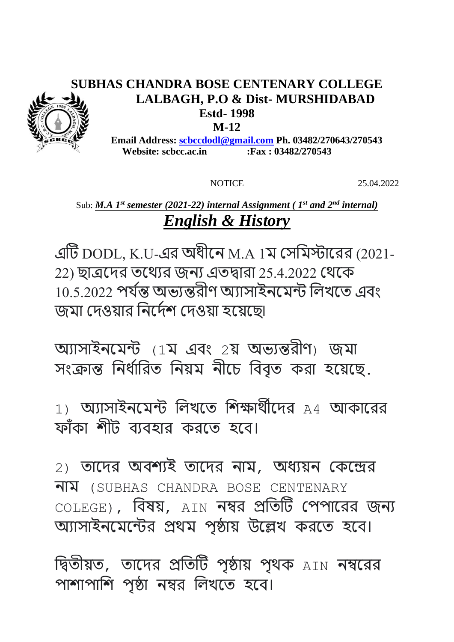## **SUBHAS CHANDRA BOSE CENTENARY COLLEGE LALBAGH, P.O & Dist- MURSHIDABAD Estd- 1998**

**M-12**

 **Email Address: [scbccdodl@gmail.com](mailto:scbccdodl@gmail.com) Ph. 03482/270643/270543 Website: scbcc.ac.in :Fax : 03482/270543**

NOTICE 25.04.2022

# Sub: *M.A 1st semester (2021-22) internal Assignment ( 1st and 2nd internal) English & History*

এটি DODL, K.U-এর অধীনে M.A 1ম সেমমস্টানরর (2021- 22) ছাত্রনের তনযের জেে এতদ্বারা 25.4.2022 সযনে 10.5.2022 পর্যন্ত অভ্যন্তরীণ অ্যাসাইনমেন্ট লিখতে এবং জমা সেওযার মেনেযশ সেওযা হনযনছ৷

অোোইেনমন্ট (1ম এবং 2য অভ্েন্তরীণ) জমা সংক্রান্ত নির্ধারিত নিয়ম নীচে বিবৃত করা হয়েছে.

 $1)$  অ্যাসাইনমেন্ট লিখতে শিক্ষার্থীদের  $A4$  আকারের ফাঁকা শীট ব্যবহার করতে হবে।

2) তানের অবশেই তানের োম, অধেযে সেনের োম (SUBHAS CHANDRA BOSE CENTENARY COLEGE), বিষয়, AIN নম্বর প্রতিটি পেপারের জন্য অ্যাসাইনমেন্টের প্রথম পৃষ্ঠায় উল্লেখ করতে হবে।

দ্বিতীয়ত, তাদের প্রতিটি পৃষ্ঠায় পৃথক  $_{\rm AIN}$  নম্বরের পাশাপাশি পৃষ্ঠা নম্বর লিখতে হবে।